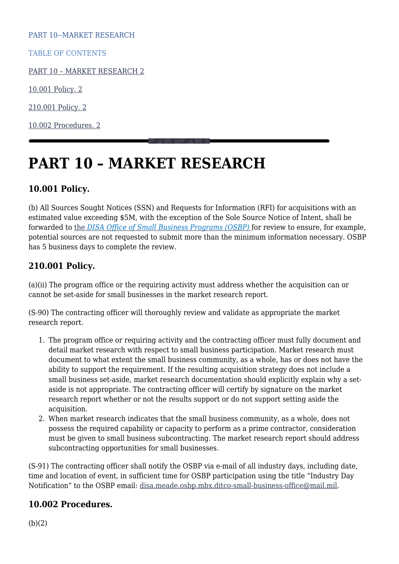PART 10--MARKET RESEARCH

TABLE OF CONTENTS

[PART 10 – MARKET RESEARCH 2](#page--1-0)

[10.001 Policy. 2](#page--1-0)

[210.001 Policy. 2](#page--1-0)

[10.002 Procedures. 2](#page--1-0)

# **PART 10 – MARKET RESEARCH**

# **10.001 Policy.**

(b) All Sources Sought Notices (SSN) and Requests for Information (RFI) for acquisitions with an estimated value exceeding \$5M, with the exception of the Sole Source Notice of Intent, shall be forwarded to [the](mailto:disa.meade.osbp.mbx.ditco-small-business-office@mail.mil) *[DISA Office of Small Business Programs \(OSBP\)](mailto:disa.meade.osbp.mbx.ditco-small-business-office@mail.mil)* for review to ensure, for example, potential sources are not requested to submit more than the minimum information necessary. OSBP has 5 business days to complete the review.

# **210.001 Policy.**

(a)(ii) The program office or the requiring activity must address whether the acquisition can or cannot be set-aside for small businesses in the market research report.

(S-90) The contracting officer will thoroughly review and validate as appropriate the market research report.

- 1. The program office or requiring activity and the contracting officer must fully document and detail market research with respect to small business participation. Market research must document to what extent the small business community, as a whole, has or does not have the ability to support the requirement. If the resulting acquisition strategy does not include a small business set-aside, market research documentation should explicitly explain why a setaside is not appropriate. The contracting officer will certify by signature on the market research report whether or not the results support or do not support setting aside the acquisition.
- 2. When market research indicates that the small business community, as a whole, does not possess the required capability or capacity to perform as a prime contractor, consideration must be given to small business subcontracting. The market research report should address subcontracting opportunities for small businesses.

(S-91) The contracting officer shall notify the OSBP via e-mail of all industry days, including date, time and location of event, in sufficient time for OSBP participation using the title "Industry Day Notification" to the OSBP email: [disa.meade.osbp.mbx.ditco-small-business-office@mail.mil](mailto:disa.meade.osbp.mbx.ditco-small-business-office@mail.mil).

### **10.002 Procedures.**

(b)(2)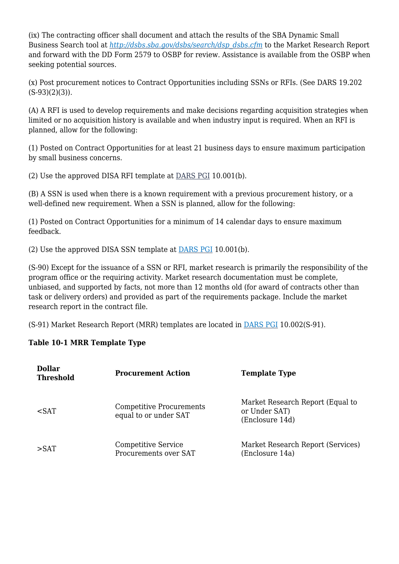(ix) The contracting officer shall document and attach the results of the SBA Dynamic Small Business Search tool at *[http://dsbs.sba.gov/dsbs/search/dsp\\_dsbs.cfm](http://dsbs.sba.gov/dsbs/search/dsp_dsbs.cfm)* to the Market Research Report and forward with the DD Form 2579 to OSBP for review. Assistance is available from the OSBP when seeking potential sources.

(x) Post procurement notices to Contract Opportunities including SSNs or RFIs. (See DARS 19.202 (S-93)(2)(3)).

(A) A RFI is used to develop requirements and make decisions regarding acquisition strategies when limited or no acquisition history is available and when industry input is required. When an RFI is planned, allow for the following:

(1) Posted on Contract Opportunities for at least 21 business days to ensure maximum participation by small business concerns.

(2) Use the approved DISA RFI template at [DARS PGI](https://disa.deps.mil/org/PL2/Pages/DITCORefs.aspx) 10.001(b).

(B) A SSN is used when there is a known requirement with a previous procurement history, or a well-defined new requirement. When a SSN is planned, allow for the following:

(1) Posted on Contract Opportunities for a minimum of 14 calendar days to ensure maximum feedback.

(2) Use the approved DISA SSN template at [DARS PGI](https://disa.deps.mil/org/PL2/Pages/DITCORefs.aspx) 10.001(b).

(S-90) Except for the issuance of a SSN or RFI, market research is primarily the responsibility of the program office or the requiring activity. Market research documentation must be complete, unbiased, and supported by facts, not more than 12 months old (for award of contracts other than task or delivery orders) and provided as part of the requirements package. Include the market research report in the contract file.

(S-91) Market Research Report (MRR) templates are located in [DARS PGI](https://disa.deps.mil/org/PL2/Pages/DITCORefs.aspx) 10.002(S-91).

### **Table 10-1 MRR Template Type**

| <b>Dollar</b><br><b>Threshold</b> | <b>Procurement Action</b>                                | <b>Template Type</b>                                                 |
|-----------------------------------|----------------------------------------------------------|----------------------------------------------------------------------|
| $\epsilon$ SAT                    | <b>Competitive Procurements</b><br>equal to or under SAT | Market Research Report (Equal to<br>or Under SAT)<br>(Enclosure 14d) |
| $>$ SAT                           | <b>Competitive Service</b><br>Procurements over SAT      | Market Research Report (Services)<br>(Enclosure 14a)                 |